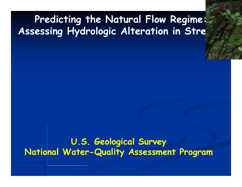#### **Predicting the Natural Flow Regime: Assessing Hydrologic Alteration in Stre**

#### **U.S. Geological Survey National Water-Quality Assessment Program**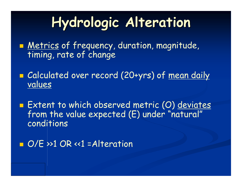# **Hydrologic Alteration Hydrologic Alteration**

- **Metrics of frequency, duration, magnitude,** timing, rate of change
- **E** Calculated over record (20+yrs) of <u>mean daily</u> values
- **Extent to which observed metric (O) <u>deviates</u>** from the value expected (E) under "natural" conditions
- O/E >>1 OR <<1 = Alteration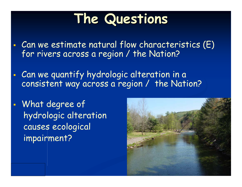# **The Questions The Questions**

- L. Can we estimate natural flow characteristics (E) for rivers across a region / the Nation?
- L. Can we quantify hydrologic alteration in a consistent way across a region / the Nation?
- L. What degree of hydrologic alteration causes ecological impairment?

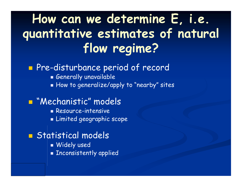## **How can we determine E, i.e. quantitative estimates of natural flow regime?**

- T. **Pre-disturbance period of record** 
	- Generally unavailable
	- $\blacksquare$  How to generalize/apply to "nearby" sites

**E** "Mechanistic" models **Resource-intensive** Limited geographic scope

**Statistical models**  Widely used  $\blacksquare$  Inconsistently applied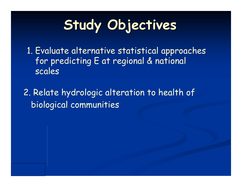# **Study Objectives Study Objectives**

1. Evaluate alternative statistical approaches for predicting E at regional & national scales

2. Relate hydrologic alteration to health of biological communities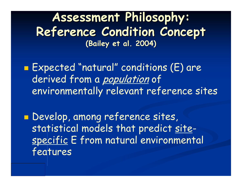**Assessment Philosophy: Assessment Philosophy: Reference Condition Concept Reference Condition Concept (Bailey et al. 2004) (Bailey et al. 2004)**

**Expected "natural" conditions (E) are** derived from a *population* of environmentally relevant reference sites

e<br>Ma **Develop, among reference sites,** stațistical models that predict <u>site</u> specific E from natural environmental features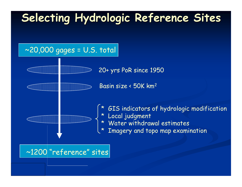### **Selecting Hydrologic Reference Sites Selecting Hydrologic Reference Sites**

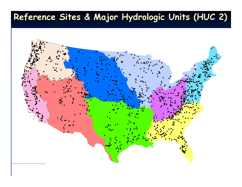#### **Reference Sites & Major Hydrologic Units (HUC 2)**

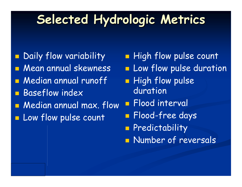## **Selected Hydrologic Metrics**

- **B.** Daily flow variability
- Mean annual skewness
- **R** Median annual runoff
- **Baseflow index**
- **R** Median annual max. Flow
- **Low flow pulse count**

 $\blacksquare$  High flow pulse count **Low flow pulse duration** T.  $\blacksquare$  High flow pulse duration **Flood interval** T. Flood-free days **Predictability Number of reversals**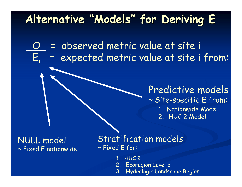#### **Alternative Alternative "Models" for Deriving E for Deriving E**

 $\underline{\mathbf{O}}_{\mathbf{i}}$ = observed metric value at site i

Ei = expected metric value at site i from:

Predictive models ~ Site-specific E from: 1. Nationwide Model 2. HUC 2 Model

#### NULL model ~ Fixed E nationwide

Stratification models ~ Fixed E for:

- 1. HUC 2
- 2. Ecoregion Level 3
- 3. Hydrologic Landscape Region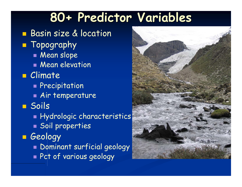## **80+ Predictor Variables 80+ Predictor Variables**

- **Basin size & location**
- **E** Topography
	- Mean slope
	- **Nean elevation**
- **E** Climate
	- **Precipitation**
	- Air temperature
- Soils
	- Hydrologic characteristics Soil properties
- Geology
	- **Dominant surficial geology Pct of various geology**

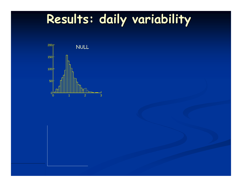## **Results: daily variability Results: daily variability**

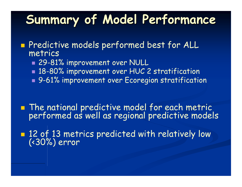## **Summary of Model Performance Summary of Model Performance**

p. **Phedictive models performed best for ALL**<br>metrics

29-81% improvement over NULL

- F **18-80% improvement over HUC 2 stratification**
- 9-61% improvement over Ecoregion stratification

T. The national predictive model for each metric performed as well as regional predictive models

T. 12 of 13 metrics predicted with relatively low (<30%) error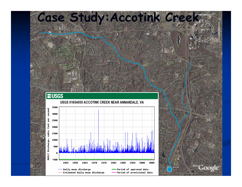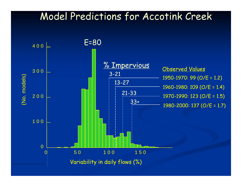#### Model Predictions for Accotink Creek

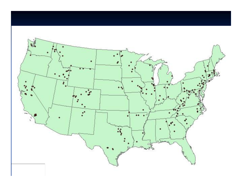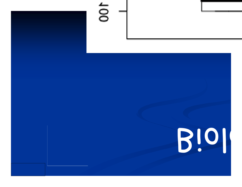క

# Biol o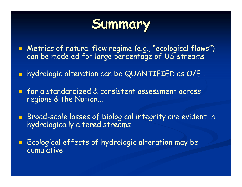# **Summary Summary**

- Metrics of natural flow regime (e.g., "ecological flows") can be modeled for large percentage of US streams
- hydrologic alteration can be QUANTIFIED as O/E…
- for a standardized & consistent assessment across regions & the Nation...
- **Broad-scale losses of biological integrity are evident in** hydrologically altered streams
- $\blacksquare$  Ecological effects of hydrologic alteration may be cumulative